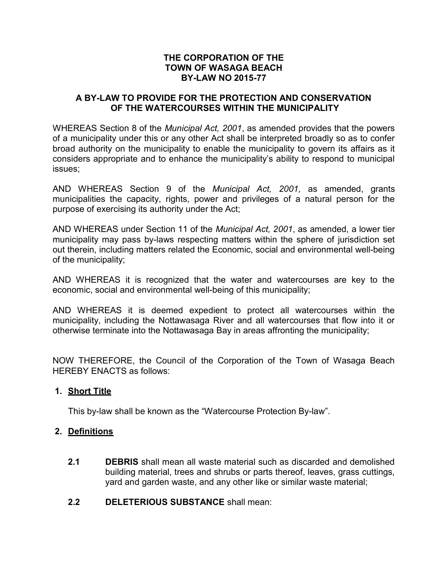# **THE CORPORATION OF THE TOWN OF WASAGA BEACH BY-LAW NO 2015-77**

# **A BY-LAW TO PROVIDE FOR THE PROTECTION AND CONSERVATION OF THE WATERCOURSES WITHIN THE MUNICIPALITY**

WHEREAS Section 8 of the *Municipal Act, 2001*, as amended provides that the powers of a municipality under this or any other Act shall be interpreted broadly so as to confer broad authority on the municipality to enable the municipality to govern its affairs as it considers appropriate and to enhance the municipality's ability to respond to municipal issues;

AND WHEREAS Section 9 of the *Municipal Act, 2001,* as amended, grants municipalities the capacity, rights, power and privileges of a natural person for the purpose of exercising its authority under the Act;

AND WHEREAS under Section 11 of the *Municipal Act, 2001*, as amended, a lower tier municipality may pass by-laws respecting matters within the sphere of jurisdiction set out therein, including matters related the Economic, social and environmental well-being of the municipality;

AND WHEREAS it is recognized that the water and watercourses are key to the economic, social and environmental well-being of this municipality;

AND WHEREAS it is deemed expedient to protect all watercourses within the municipality, including the Nottawasaga River and all watercourses that flow into it or otherwise terminate into the Nottawasaga Bay in areas affronting the municipality;

NOW THEREFORE, the Council of the Corporation of the Town of Wasaga Beach HEREBY ENACTS as follows:

# **1. Short Title**

This by-law shall be known as the "Watercourse Protection By-law".

# **2. Definitions**

- **2.1 DEBRIS** shall mean all waste material such as discarded and demolished building material, trees and shrubs or parts thereof, leaves, grass cuttings, yard and garden waste, and any other like or similar waste material;
- **2.2 DELETERIOUS SUBSTANCE** shall mean: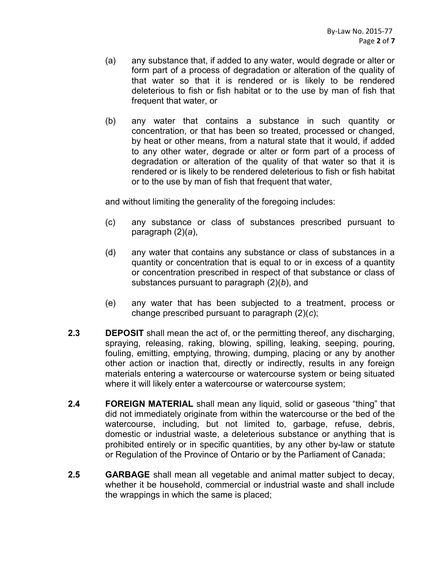- (a) any substance that, if added to any water, would degrade or alter or form part of a process of degradation or alteration of the quality of that water so that it is rendered or is likely to be rendered deleterious to fish or fish habitat or to the use by man of fish that frequent that water, or
- (b) any water that contains a substance in such quantity or concentration, or that has been so treated, processed or changed, by heat or other means, from a natural state that it would, if added to any other water, degrade or alter or form part of a process of degradation or alteration of the quality of that water so that it is rendered or is likely to be rendered deleterious to fish or fish habitat or to the use by man of fish that frequent that water,

and without limiting the generality of the foregoing includes:

- (c) any substance or class of substances prescribed pursuant to paragraph (2)(*a*),
- (d) any water that contains any substance or class of substances in a quantity or concentration that is equal to or in excess of a quantity or concentration prescribed in respect of that substance or class of substances pursuant to paragraph (2)(*b*), and
- (e) any water that has been subjected to a treatment, process or change prescribed pursuant to paragraph (2)(*c*);
- **2.3 DEPOSIT** shall mean the act of, or the permitting thereof, any discharging, spraying, releasing, raking, blowing, spilling, leaking, seeping, pouring, fouling, emitting, emptying, throwing, dumping, placing or any by another other action or inaction that, directly or indirectly, results in any foreign materials entering a watercourse or watercourse system or being situated where it will likely enter a watercourse or watercourse system;
- **2.4 FOREIGN MATERIAL** shall mean any liquid, solid or gaseous "thing" that did not immediately originate from within the watercourse or the bed of the watercourse, including, but not limited to, garbage, refuse, debris, domestic or industrial waste, a deleterious substance or anything that is prohibited entirely or in specific quantities, by any other by-law or statute or Regulation of the Province of Ontario or by the Parliament of Canada;
- **2.5 GARBAGE** shall mean all vegetable and animal matter subject to decay, whether it be household, commercial or industrial waste and shall include the wrappings in which the same is placed;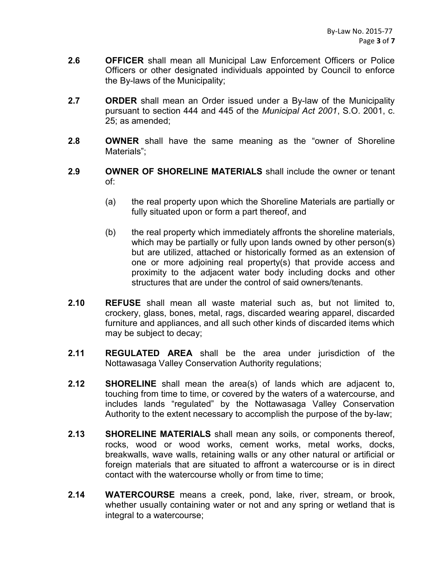- **2.6 OFFICER** shall mean all Municipal Law Enforcement Officers or Police Officers or other designated individuals appointed by Council to enforce the By-laws of the Municipality;
- **2.7 ORDER** shall mean an Order issued under a By-law of the Municipality pursuant to section 444 and 445 of the *Municipal Act 2001*, S.O. 2001, c. 25; as amended;
- **2.8 OWNER** shall have the same meaning as the "owner of Shoreline Materials";
- **2.9 OWNER OF SHORELINE MATERIALS** shall include the owner or tenant of:
	- (a) the real property upon which the Shoreline Materials are partially or fully situated upon or form a part thereof, and
	- (b) the real property which immediately affronts the shoreline materials, which may be partially or fully upon lands owned by other person(s) but are utilized, attached or historically formed as an extension of one or more adjoining real property(s) that provide access and proximity to the adjacent water body including docks and other structures that are under the control of said owners/tenants.
- **2.10 REFUSE** shall mean all waste material such as, but not limited to, crockery, glass, bones, metal, rags, discarded wearing apparel, discarded furniture and appliances, and all such other kinds of discarded items which may be subject to decay;
- **2.11 REGULATED AREA** shall be the area under jurisdiction of the Nottawasaga Valley Conservation Authority regulations;
- **2.12 SHORELINE** shall mean the area(s) of lands which are adjacent to, touching from time to time, or covered by the waters of a watercourse, and includes lands "regulated" by the Nottawasaga Valley Conservation Authority to the extent necessary to accomplish the purpose of the by-law;
- **2.13 SHORELINE MATERIALS** shall mean any soils, or components thereof, rocks, wood or wood works, cement works, metal works, docks, breakwalls, wave walls, retaining walls or any other natural or artificial or foreign materials that are situated to affront a watercourse or is in direct contact with the watercourse wholly or from time to time;
- **2.14 WATERCOURSE** means a creek, pond, lake, river, stream, or brook, whether usually containing water or not and any spring or wetland that is integral to a watercourse;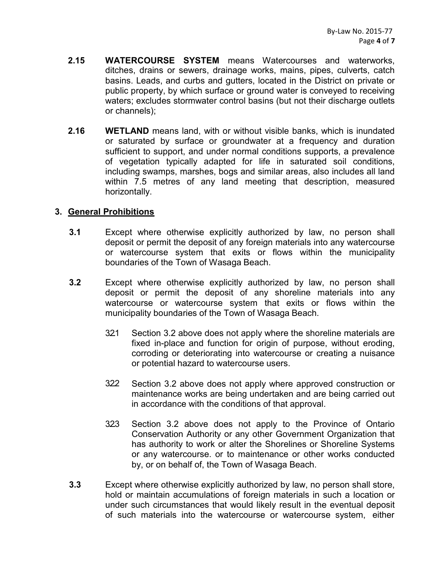- **2.15 WATERCOURSE SYSTEM** means Watercourses and waterworks, ditches, drains or sewers, drainage works, mains, pipes, culverts, catch basins. Leads, and curbs and gutters, located in the District on private or public property, by which surface or ground water is conveyed to receiving waters; excludes stormwater control basins (but not their discharge outlets or channels);
- **2.16 WETLAND** means land, with or without visible banks, which is inundated or saturated by surface or groundwater at a frequency and duration sufficient to support, and under normal conditions supports, a prevalence of vegetation typically adapted for life in saturated soil conditions, including swamps, marshes, bogs and similar areas, also includes all land within 7.5 metres of any land meeting that description, measured horizontally.

### **3. General Prohibitions**

- **3.1** Except where otherwise explicitly authorized by law, no person shall deposit or permit the deposit of any foreign materials into any watercourse or watercourse system that exits or flows within the municipality boundaries of the Town of Wasaga Beach.
- **3.2** Except where otherwise explicitly authorized by law, no person shall deposit or permit the deposit of any shoreline materials into any watercourse or watercourse system that exits or flows within the municipality boundaries of the Town of Wasaga Beach.
	- 3.2.1 Section 3.2 above does not apply where the shoreline materials are fixed in-place and function for origin of purpose, without eroding, corroding or deteriorating into watercourse or creating a nuisance or potential hazard to watercourse users.
	- 322 Section 3.2 above does not apply where approved construction or maintenance works are being undertaken and are being carried out in accordance with the conditions of that approval.
	- 323 Section 3.2 above does not apply to the Province of Ontario Conservation Authority or any other Government Organization that has authority to work or alter the Shorelines or Shoreline Systems or any watercourse. or to maintenance or other works conducted by, or on behalf of, the Town of Wasaga Beach.
- **3.3** Except where otherwise explicitly authorized by law, no person shall store, hold or maintain accumulations of foreign materials in such a location or under such circumstances that would likely result in the eventual deposit of such materials into the watercourse or watercourse system, either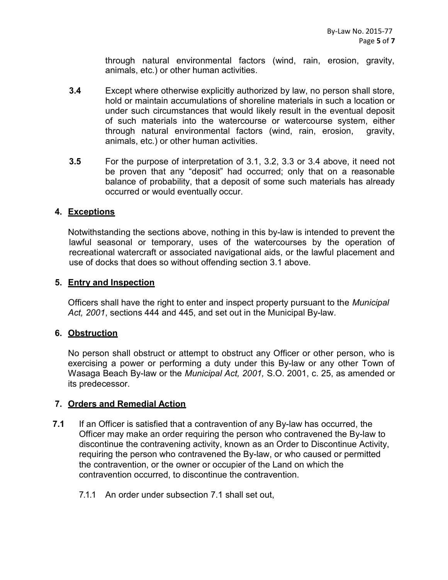through natural environmental factors (wind, rain, erosion, gravity, animals, etc.) or other human activities.

- **3.4** Except where otherwise explicitly authorized by law, no person shall store, hold or maintain accumulations of shoreline materials in such a location or under such circumstances that would likely result in the eventual deposit of such materials into the watercourse or watercourse system, either through natural environmental factors (wind, rain, erosion, gravity, animals, etc.) or other human activities.
- **3.5** For the purpose of interpretation of 3.1, 3.2, 3.3 or 3.4 above, it need not be proven that any "deposit" had occurred; only that on a reasonable balance of probability, that a deposit of some such materials has already occurred or would eventually occur.

### **4. Exceptions**

Notwithstanding the sections above, nothing in this by-law is intended to prevent the lawful seasonal or temporary, uses of the watercourses by the operation of recreational watercraft or associated navigational aids, or the lawful placement and use of docks that does so without offending section 3.1 above.

### **5. Entry and Inspection**

Officers shall have the right to enter and inspect property pursuant to the *Municipal Act, 2001*, sections 444 and 445, and set out in the Municipal By-law.

#### **6. Obstruction**

No person shall obstruct or attempt to obstruct any Officer or other person, who is exercising a power or performing a duty under this By-law or any other Town of Wasaga Beach By-law or the *Municipal Act, 2001,* S.O. 2001, c. 25, as amended or its predecessor.

# **7. Orders and Remedial Action**

- **7.1** If an Officer is satisfied that a contravention of any By-law has occurred, the Officer may make an order requiring the person who contravened the By-law to discontinue the contravening activity, known as an Order to Discontinue Activity, requiring the person who contravened the By-law, or who caused or permitted the contravention, or the owner or occupier of the Land on which the contravention occurred, to discontinue the contravention.
	- 7.1.1 An order under subsection 7.1 shall set out,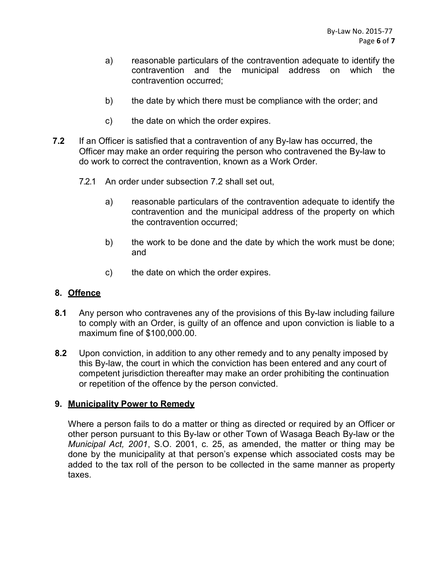- a) reasonable particulars of the contravention adequate to identify the contravention and the municipal address on which the contravention occurred;
- b) the date by which there must be compliance with the order; and
- c) the date on which the order expires.
- **7.2** If an Officer is satisfied that a contravention of any By-law has occurred, the Officer may make an order requiring the person who contravened the By-law to do work to correct the contravention, known as a Work Order.
	- 7.2.1 An order under subsection 7.2 shall set out,
		- a) reasonable particulars of the contravention adequate to identify the contravention and the municipal address of the property on which the contravention occurred;
		- b) the work to be done and the date by which the work must be done; and
		- c) the date on which the order expires.

# **8. Offence**

- **8.1** Any person who contravenes any of the provisions of this By-law including failure to comply with an Order, is guilty of an offence and upon conviction is liable to a maximum fine of \$100,000.00.
- **8.2** Upon conviction, in addition to any other remedy and to any penalty imposed by this By-law, the court in which the conviction has been entered and any court of competent jurisdiction thereafter may make an order prohibiting the continuation or repetition of the offence by the person convicted.

#### **9. Municipality Power to Remedy**

Where a person fails to do a matter or thing as directed or required by an Officer or other person pursuant to this By-law or other Town of Wasaga Beach By-law or the *Municipal Act, 2001*, S.O. 2001, c. 25, as amended, the matter or thing may be done by the municipality at that person's expense which associated costs may be added to the tax roll of the person to be collected in the same manner as property taxes.